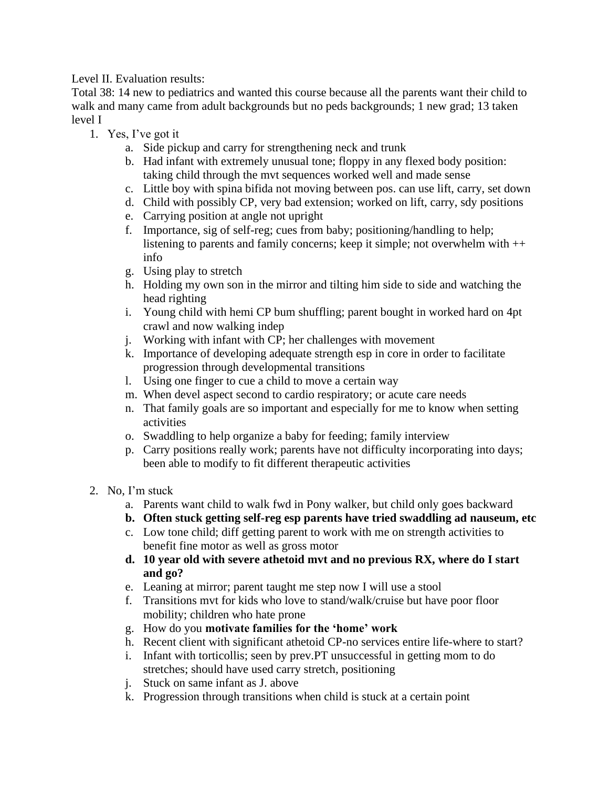Level II. Evaluation results:

Total 38: 14 new to pediatrics and wanted this course because all the parents want their child to walk and many came from adult backgrounds but no peds backgrounds; 1 new grad; 13 taken level I

- 1. Yes, I've got it
	- a. Side pickup and carry for strengthening neck and trunk
	- b. Had infant with extremely unusual tone; floppy in any flexed body position: taking child through the mvt sequences worked well and made sense
	- c. Little boy with spina bifida not moving between pos. can use lift, carry, set down
	- d. Child with possibly CP, very bad extension; worked on lift, carry, sdy positions
	- e. Carrying position at angle not upright
	- f. Importance, sig of self-reg; cues from baby; positioning/handling to help; listening to parents and family concerns; keep it simple; not overwhelm with ++ info
	- g. Using play to stretch
	- h. Holding my own son in the mirror and tilting him side to side and watching the head righting
	- i. Young child with hemi CP bum shuffling; parent bought in worked hard on 4pt crawl and now walking indep
	- j. Working with infant with CP; her challenges with movement
	- k. Importance of developing adequate strength esp in core in order to facilitate progression through developmental transitions
	- l. Using one finger to cue a child to move a certain way
	- m. When devel aspect second to cardio respiratory; or acute care needs
	- n. That family goals are so important and especially for me to know when setting activities
	- o. Swaddling to help organize a baby for feeding; family interview
	- p. Carry positions really work; parents have not difficulty incorporating into days; been able to modify to fit different therapeutic activities
- 2. No, I'm stuck
	- a. Parents want child to walk fwd in Pony walker, but child only goes backward
	- **b. Often stuck getting self-reg esp parents have tried swaddling ad nauseum, etc**
	- c. Low tone child; diff getting parent to work with me on strength activities to benefit fine motor as well as gross motor
	- **d. 10 year old with severe athetoid mvt and no previous RX, where do I start and go?**
	- e. Leaning at mirror; parent taught me step now I will use a stool
	- f. Transitions mvt for kids who love to stand/walk/cruise but have poor floor mobility; children who hate prone
	- g. How do you **motivate families for the 'home' work**
	- h. Recent client with significant athetoid CP-no services entire life-where to start?
	- i. Infant with torticollis; seen by prev.PT unsuccessful in getting mom to do stretches; should have used carry stretch, positioning
	- j. Stuck on same infant as J. above
	- k. Progression through transitions when child is stuck at a certain point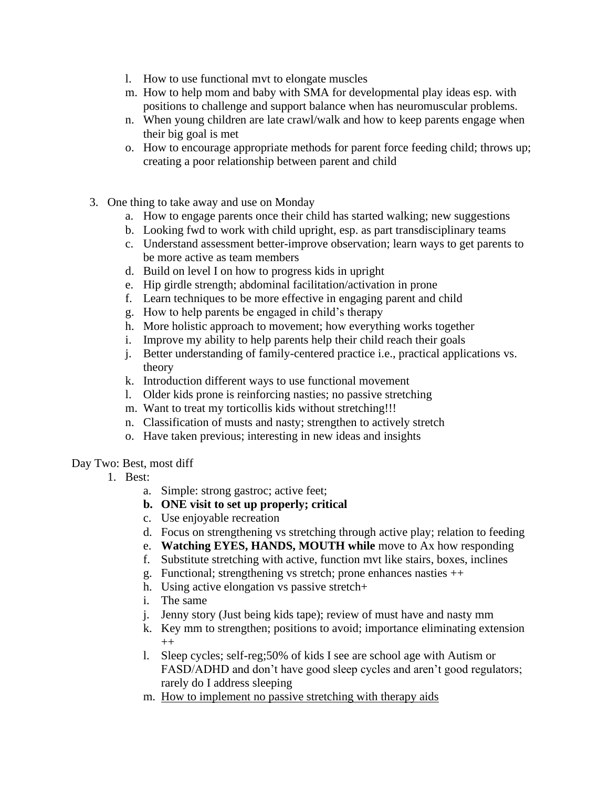- l. How to use functional mvt to elongate muscles
- m. How to help mom and baby with SMA for developmental play ideas esp. with positions to challenge and support balance when has neuromuscular problems.
- n. When young children are late crawl/walk and how to keep parents engage when their big goal is met
- o. How to encourage appropriate methods for parent force feeding child; throws up; creating a poor relationship between parent and child
- 3. One thing to take away and use on Monday
	- a. How to engage parents once their child has started walking; new suggestions
	- b. Looking fwd to work with child upright, esp. as part transdisciplinary teams
	- c. Understand assessment better-improve observation; learn ways to get parents to be more active as team members
	- d. Build on level I on how to progress kids in upright
	- e. Hip girdle strength; abdominal facilitation/activation in prone
	- f. Learn techniques to be more effective in engaging parent and child
	- g. How to help parents be engaged in child's therapy
	- h. More holistic approach to movement; how everything works together
	- i. Improve my ability to help parents help their child reach their goals
	- j. Better understanding of family-centered practice i.e., practical applications vs. theory
	- k. Introduction different ways to use functional movement
	- l. Older kids prone is reinforcing nasties; no passive stretching
	- m. Want to treat my torticollis kids without stretching!!!
	- n. Classification of musts and nasty; strengthen to actively stretch
	- o. Have taken previous; interesting in new ideas and insights

## Day Two: Best, most diff

- 1. Best:
	- a. Simple: strong gastroc; active feet;
	- **b. ONE visit to set up properly; critical**
	- c. Use enjoyable recreation
	- d. Focus on strengthening vs stretching through active play; relation to feeding
	- e. **Watching EYES, HANDS, MOUTH while** move to Ax how responding
	- f. Substitute stretching with active, function mvt like stairs, boxes, inclines
	- g. Functional; strengthening vs stretch; prone enhances nasties ++
	- h. Using active elongation vs passive stretch+
	- i. The same
	- j. Jenny story (Just being kids tape); review of must have and nasty mm
	- k. Key mm to strengthen; positions to avoid; importance eliminating extension  $^{++}$
	- l. Sleep cycles; self-reg;50% of kids I see are school age with Autism or FASD/ADHD and don't have good sleep cycles and aren't good regulators; rarely do I address sleeping
	- m. How to implement no passive stretching with therapy aids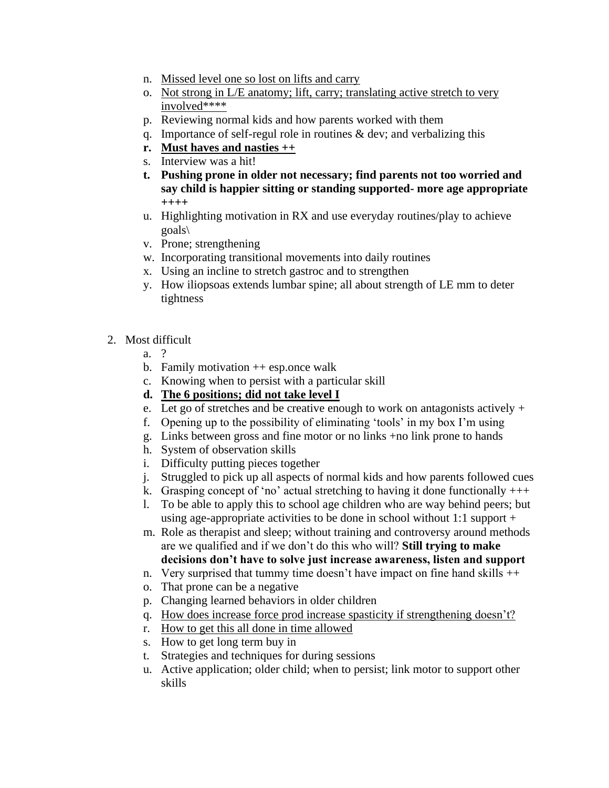- n. Missed level one so lost on lifts and carry
- o. Not strong in L/E anatomy; lift, carry; translating active stretch to very involved\*\*\*\*
- p. Reviewing normal kids and how parents worked with them
- q. Importance of self-regul role in routines & dev; and verbalizing this
- **r. Must haves and nasties ++**
- s. Interview was a hit!
- **t. Pushing prone in older not necessary; find parents not too worried and say child is happier sitting or standing supported- more age appropriate ++++**
- u. Highlighting motivation in RX and use everyday routines/play to achieve goals\
- v. Prone; strengthening
- w. Incorporating transitional movements into daily routines
- x. Using an incline to stretch gastroc and to strengthen
- y. How iliopsoas extends lumbar spine; all about strength of LE mm to deter tightness
- 2. Most difficult
	- a. ?
	- b. Family motivation  $++$  esp. once walk
	- c. Knowing when to persist with a particular skill
	- **d. The 6 positions; did not take level I**
	- e. Let go of stretches and be creative enough to work on antagonists actively  $+$
	- f. Opening up to the possibility of eliminating 'tools' in my box I'm using
	- g. Links between gross and fine motor or no links +no link prone to hands
	- h. System of observation skills
	- i. Difficulty putting pieces together
	- j. Struggled to pick up all aspects of normal kids and how parents followed cues
	- k. Grasping concept of 'no' actual stretching to having it done functionally  $+++$
	- l. To be able to apply this to school age children who are way behind peers; but using age-appropriate activities to be done in school without 1:1 support  $+$

m. Role as therapist and sleep; without training and controversy around methods are we qualified and if we don't do this who will? **Still trying to make decisions don't have to solve just increase awareness, listen and support**

- n. Very surprised that tummy time doesn't have impact on fine hand skills ++
- o. That prone can be a negative
- p. Changing learned behaviors in older children
- q. How does increase force prod increase spasticity if strengthening doesn't?
- r. How to get this all done in time allowed
- s. How to get long term buy in
- t. Strategies and techniques for during sessions
- u. Active application; older child; when to persist; link motor to support other skills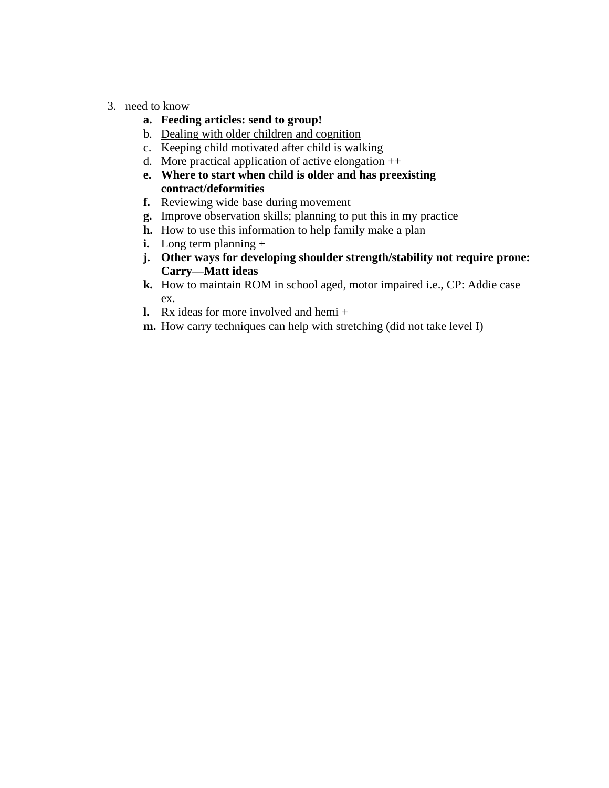3. need to know

## **a. Feeding articles: send to group!**

- b. Dealing with older children and cognition
- c. Keeping child motivated after child is walking
- d. More practical application of active elongation ++
- **e. Where to start when child is older and has preexisting contract/deformities**
- **f.** Reviewing wide base during movement
- **g.** Improve observation skills; planning to put this in my practice
- **h.** How to use this information to help family make a plan
- **i.** Long term planning +
- **j. Other ways for developing shoulder strength/stability not require prone: Carry—Matt ideas**
- **k.** How to maintain ROM in school aged, motor impaired i.e., CP: Addie case ex.
- **l.** Rx ideas for more involved and hemi +
- **m.** How carry techniques can help with stretching (did not take level I)